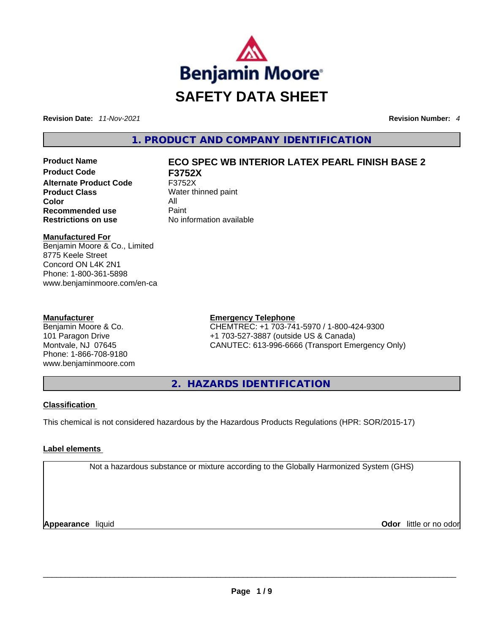

**Revision Date:** *11-Nov-2021* **Revision Number:** *4*

**1. PRODUCT AND COMPANY IDENTIFICATION** 

**Product Code F3752X Alternate Product Code** F3752X **Product Class** Water thinned paint **Color** All **Recommended use Paint Restrictions on use** No information available

# **Product Name ECO SPEC WB INTERIOR LATEX PEARL FINISH BASE 2**

**Manufactured For**

Benjamin Moore & Co., Limited 8775 Keele Street Concord ON L4K 2N1 Phone: 1-800-361-5898 www.benjaminmoore.com/en-ca

#### **Manufacturer**

Benjamin Moore & Co. 101 Paragon Drive Montvale, NJ 07645 Phone: 1-866-708-9180 www.benjaminmoore.com

### **Emergency Telephone**

CHEMTREC: +1 703-741-5970 / 1-800-424-9300 +1 703-527-3887 (outside US & Canada) CANUTEC: 613-996-6666 (Transport Emergency Only)

**2. HAZARDS IDENTIFICATION** 

### **Classification**

This chemical is not considered hazardous by the Hazardous Products Regulations (HPR: SOR/2015-17)

# **Label elements**

Not a hazardous substance or mixture according to the Globally Harmonized System (GHS)

**Appearance** liquid **Odor** little or no odor \_\_\_\_\_\_\_\_\_\_\_\_\_\_\_\_\_\_\_\_\_\_\_\_\_\_\_\_\_\_\_\_\_\_\_\_\_\_\_\_\_\_\_\_\_\_\_\_\_\_\_\_\_\_\_\_\_\_\_\_\_\_\_\_\_\_\_\_\_\_\_\_\_\_\_\_\_\_\_\_\_\_\_\_\_\_\_\_\_\_\_\_\_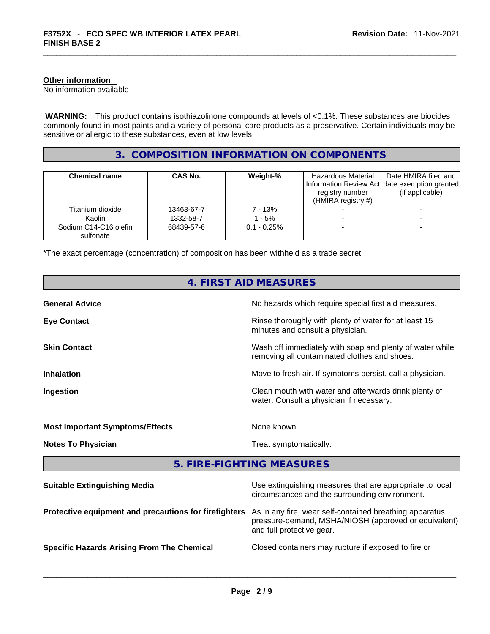#### **Other information**

No information available

 **WARNING:** This product contains isothiazolinone compounds at levels of <0.1%. These substances are biocides commonly found in most paints and a variety of personal care products as a preservative. Certain individuals may be sensitive or allergic to these substances, even at low levels.

# **3. COMPOSITION INFORMATION ON COMPONENTS**

| <b>Chemical name</b>               | CAS No.    | Weight-%       | Hazardous Material<br>registry number<br>(HMIRA registry $#$ ) | Date HMIRA filed and<br>Information Review Act date exemption granted<br>(if applicable) |
|------------------------------------|------------|----------------|----------------------------------------------------------------|------------------------------------------------------------------------------------------|
| Titanium dioxide                   | 13463-67-7 | 7 - 13%        |                                                                |                                                                                          |
| Kaolin                             | 1332-58-7  | $-5%$          |                                                                |                                                                                          |
| Sodium C14-C16 olefin<br>sulfonate | 68439-57-6 | $0.1 - 0.25\%$ |                                                                |                                                                                          |

\*The exact percentage (concentration) of composition has been withheld as a trade secret

|                                                       | 4. FIRST AID MEASURES                                                                                                                        |
|-------------------------------------------------------|----------------------------------------------------------------------------------------------------------------------------------------------|
| <b>General Advice</b>                                 | No hazards which require special first aid measures.                                                                                         |
| <b>Eye Contact</b>                                    | Rinse thoroughly with plenty of water for at least 15<br>minutes and consult a physician.                                                    |
| <b>Skin Contact</b>                                   | Wash off immediately with soap and plenty of water while<br>removing all contaminated clothes and shoes.                                     |
| <b>Inhalation</b>                                     | Move to fresh air. If symptoms persist, call a physician.                                                                                    |
| Ingestion                                             | Clean mouth with water and afterwards drink plenty of<br>water. Consult a physician if necessary.                                            |
| <b>Most Important Symptoms/Effects</b>                | None known.                                                                                                                                  |
| <b>Notes To Physician</b>                             | Treat symptomatically.                                                                                                                       |
|                                                       | 5. FIRE-FIGHTING MEASURES                                                                                                                    |
| <b>Suitable Extinguishing Media</b>                   | Use extinguishing measures that are appropriate to local<br>circumstances and the surrounding environment.                                   |
| Protective equipment and precautions for firefighters | As in any fire, wear self-contained breathing apparatus<br>pressure-demand, MSHA/NIOSH (approved or equivalent)<br>and full protective gear. |
| <b>Specific Hazards Arising From The Chemical</b>     | Closed containers may rupture if exposed to fire or                                                                                          |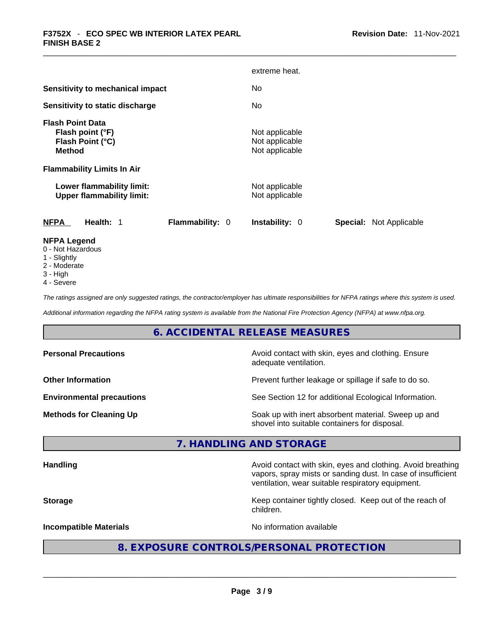|                                                                                  | extreme heat.                                           |
|----------------------------------------------------------------------------------|---------------------------------------------------------|
| Sensitivity to mechanical impact                                                 | No.                                                     |
| Sensitivity to static discharge                                                  | No.                                                     |
| <b>Flash Point Data</b><br>Flash point (°F)<br>Flash Point (°C)<br><b>Method</b> | Not applicable<br>Not applicable<br>Not applicable      |
| <b>Flammability Limits In Air</b>                                                |                                                         |
| Lower flammability limit:<br><b>Upper flammability limit:</b>                    | Not applicable<br>Not applicable                        |
| <b>Flammability: 0</b><br><b>NFPA</b><br>Health: 1                               | <b>Special: Not Applicable</b><br><b>Instability: 0</b> |
| <b>NFPA Legend</b>                                                               |                                                         |

- 0 Not Hazardous
- 1 Slightly
- 2 Moderate
- 3 High
- 4 Severe

*The ratings assigned are only suggested ratings, the contractor/employer has ultimate responsibilities for NFPA ratings where this system is used.* 

*Additional information regarding the NFPA rating system is available from the National Fire Protection Agency (NFPA) at www.nfpa.org.* 

### **6. ACCIDENTAL RELEASE MEASURES**

| <b>Personal Precautions</b>      | Avoid contact with skin, eyes and clothing. Ensure<br>adequate ventilation.                          |
|----------------------------------|------------------------------------------------------------------------------------------------------|
| <b>Other Information</b>         | Prevent further leakage or spillage if safe to do so.                                                |
| <b>Environmental precautions</b> | See Section 12 for additional Ecological Information.                                                |
| <b>Methods for Cleaning Up</b>   | Soak up with inert absorbent material. Sweep up and<br>shovel into suitable containers for disposal. |

# **7. HANDLING AND STORAGE**

**Handling Handling Avoid contact with skin, eyes and clothing. Avoid breathing** vapors, spray mists or sanding dust. In case of insufficient ventilation, wear suitable respiratory equipment.

**Storage Keep container tightly closed. Keep out of the reach of the reach of the reach of** children.

**Incompatible Materials Materials** No information available

# **8. EXPOSURE CONTROLS/PERSONAL PROTECTION**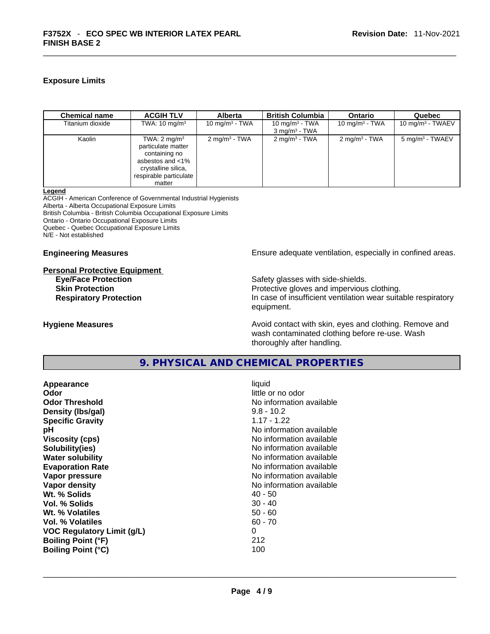#### **Exposure Limits**

| <b>Chemical name</b> | <b>ACGIH TLV</b>                                                                                                                              | <b>Alberta</b>           | <b>British Columbia</b>                       | Ontario                  | Quebec                      |
|----------------------|-----------------------------------------------------------------------------------------------------------------------------------------------|--------------------------|-----------------------------------------------|--------------------------|-----------------------------|
| Titanium dioxide     | TWA: $10 \text{ mg/m}^3$                                                                                                                      | 10 mg/m $3$ - TWA        | 10 mg/m $3$ - TWA<br>$3 \text{ mg/m}^3$ - TWA | 10 mg/m $3$ - TWA        | 10 mg/m $3$ - TWAEV         |
| Kaolin               | TWA: $2 \text{ mg/m}^3$<br>particulate matter<br>containing no<br>asbestos and <1%<br>crystalline silica,<br>respirable particulate<br>matter | $2 \text{ mq/m}^3$ - TWA | $2 \text{ mg/m}^3$ - TWA                      | $2 \text{ mg/m}^3$ - TWA | 5 mg/m <sup>3</sup> - TWAEV |

**Legend**

ACGIH - American Conference of Governmental Industrial Hygienists Alberta - Alberta Occupational Exposure Limits British Columbia - British Columbia Occupational Exposure Limits Ontario - Ontario Occupational Exposure Limits Quebec - Quebec Occupational Exposure Limits

N/E - Not established

# **Personal Protective Equipment**

**Engineering Measures Ensure** Ensure adequate ventilation, especially in confined areas.

Safety glasses with side-shields. **Skin Protection Protection Protective gloves and impervious clothing. Respiratory Protection In case of insufficient ventilation wear suitable respiratory** equipment.

**Hygiene Measures Avoid contact with skin, eyes and clothing. Remove and Avoid contact with skin, eyes and clothing. Remove and Avoid contact with skin, eyes and clothing. Remove and** wash contaminated clothing before re-use. Wash thoroughly after handling.

# **9. PHYSICAL AND CHEMICAL PROPERTIES**

| Appearance                        | liquid                   |
|-----------------------------------|--------------------------|
| Odor                              | little or no odor        |
| <b>Odor Threshold</b>             | No information available |
| Density (Ibs/gal)                 | $9.8 - 10.2$             |
| <b>Specific Gravity</b>           | $1.17 - 1.22$            |
| рH                                | No information available |
| <b>Viscosity (cps)</b>            | No information available |
| Solubility(ies)                   | No information available |
| <b>Water solubility</b>           | No information available |
| <b>Evaporation Rate</b>           | No information available |
| Vapor pressure                    | No information available |
| Vapor density                     | No information available |
| Wt. % Solids                      | $40 - 50$                |
| Vol. % Solids                     | $30 - 40$                |
| Wt. % Volatiles                   | $50 - 60$                |
| Vol. % Volatiles                  | $60 - 70$                |
| <b>VOC Regulatory Limit (g/L)</b> | 0                        |
| <b>Boiling Point (°F)</b>         | 212                      |
| <b>Boiling Point (°C)</b>         | 100                      |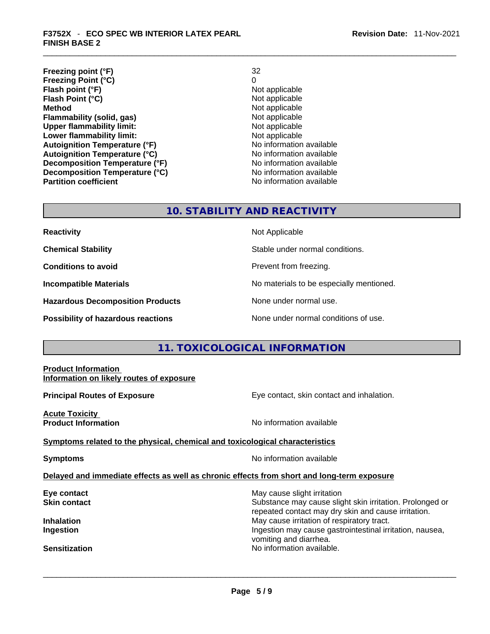- **Freezing point (°F)** 32 **Freezing Point (°C)** 0 **Flash point (°F) Flash Point (°C)** Not applicable **Method Not applicable**<br> **Plammability (solid, gas)** Not applicable **Not applicable Flammability (solid, gas)** Not applicable<br> **Upper flammability limit:** Not applicable **Upper flammability limit:**
- **Lower flammability limit:**<br> **Autoignition Temperature (°F)**<br>
Mo information available Autoignition Temperature (°F)<br>
Autoignition Temperature (°C)<br>
No information available **Autoignition Temperature (°C) Decomposition Temperature (°F)**<br> **Decomposition Temperature (°C)** No information available **Decomposition Temperature (°C)**<br>Partition coefficient

#### **Revision Date:** 11-Nov-2021

**No information available** 

# **10. STABILITY AND REACTIVITY**

| <b>Reactivity</b>                       | Not Applicable                           |
|-----------------------------------------|------------------------------------------|
| <b>Chemical Stability</b>               | Stable under normal conditions.          |
| <b>Conditions to avoid</b>              | Prevent from freezing.                   |
| <b>Incompatible Materials</b>           | No materials to be especially mentioned. |
| <b>Hazardous Decomposition Products</b> | None under normal use.                   |
| Possibility of hazardous reactions      | None under normal conditions of use.     |

# **11. TOXICOLOGICAL INFORMATION**

#### **Product Information Information on likely routes of exposure**

**Principal Routes of Exposure Exposure** Eye contact, skin contact and inhalation.

**Acute Toxicity Product Information Information No information available** 

**Symptoms related to the physical,chemical and toxicological characteristics**

**Symptoms No information available** 

# **Delayed and immediate effects as well as chronic effects from short and long-term exposure**

**Eye contact Exercise 3 May cause slight irritation Skin contact Substance may cause slight skin irritation. Prolonged or** Substance may cause slight skin irritation. Prolonged or repeated contact may dry skin and cause irritation. **Inhalation Inhalation Inhalation May cause irritation of respiratory tract. Ingestion Ingestion Index is a structure of the line of the line of the line of the line of the line of the line of the line of the line of the line of the line of the line of the line of the line of the line of the l** 

vomiting and diarrhea.<br>No information available. **Sensitization** No information available. \_\_\_\_\_\_\_\_\_\_\_\_\_\_\_\_\_\_\_\_\_\_\_\_\_\_\_\_\_\_\_\_\_\_\_\_\_\_\_\_\_\_\_\_\_\_\_\_\_\_\_\_\_\_\_\_\_\_\_\_\_\_\_\_\_\_\_\_\_\_\_\_\_\_\_\_\_\_\_\_\_\_\_\_\_\_\_\_\_\_\_\_\_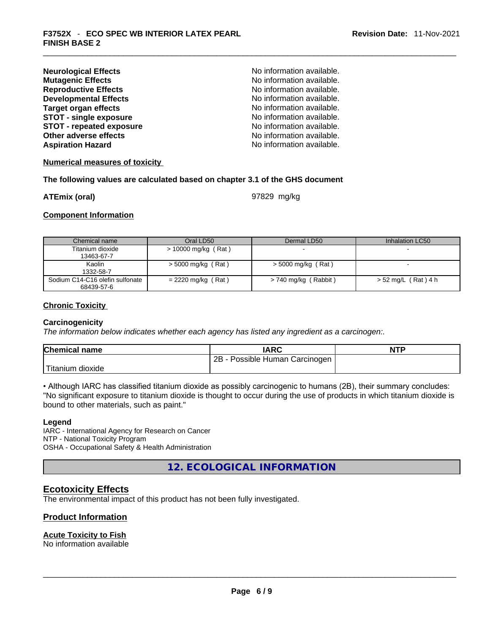| <b>Neurological Effects</b>     | No information available. |
|---------------------------------|---------------------------|
| <b>Mutagenic Effects</b>        | No information available. |
| <b>Reproductive Effects</b>     | No information available. |
| <b>Developmental Effects</b>    | No information available. |
| <b>Target organ effects</b>     | No information available. |
| <b>STOT - single exposure</b>   | No information available. |
| <b>STOT - repeated exposure</b> | No information available. |
| Other adverse effects           | No information available. |
| <b>Aspiration Hazard</b>        | No information available. |

#### **Numerical measures of toxicity**

#### **The following values are calculated based on chapter 3.1 of the GHS document**

**ATEmix (oral)** 97829 mg/kg

#### **Component Information**

| Chemical name                   | Oral LD50             | Dermal LD50          | Inhalation LC50     |
|---------------------------------|-----------------------|----------------------|---------------------|
| Titanium dioxide                | $> 10000$ mg/kg (Rat) |                      |                     |
| 13463-67-7                      |                       |                      |                     |
| Kaolin                          | > 5000 mg/kg (Rat)    | $>$ 5000 mg/kg (Rat) |                     |
| 1332-58-7                       |                       |                      |                     |
| Sodium C14-C16 olefin sulfonate | $= 2220$ mg/kg (Rat)  | > 740 mg/kg (Rabbit) | > 52 mg/L (Rat) 4 h |
| 68439-57-6                      |                       |                      |                     |

#### **Chronic Toxicity**

#### **Carcinogenicity**

*The information below indicates whether each agency has listed any ingredient as a carcinogen:.* 

| <b>Chemical name</b>          | IARC                            | <b>NTP</b> |
|-------------------------------|---------------------------------|------------|
|                               | 2B<br>Possible Human Carcinogen |            |
| <sup>'</sup> Titanium dioxide |                                 |            |

• Although IARC has classified titanium dioxide as possibly carcinogenic to humans (2B), their summary concludes: "No significant exposure to titanium dioxide is thought to occur during the use of products in which titanium dioxide is bound to other materials, such as paint."

#### **Legend**

IARC - International Agency for Research on Cancer NTP - National Toxicity Program OSHA - Occupational Safety & Health Administration

**12. ECOLOGICAL INFORMATION** 

#### **Ecotoxicity Effects**

The environmental impact of this product has not been fully investigated.

#### **Product Information**

# **Acute Toxicity to Fish**

No information available \_\_\_\_\_\_\_\_\_\_\_\_\_\_\_\_\_\_\_\_\_\_\_\_\_\_\_\_\_\_\_\_\_\_\_\_\_\_\_\_\_\_\_\_\_\_\_\_\_\_\_\_\_\_\_\_\_\_\_\_\_\_\_\_\_\_\_\_\_\_\_\_\_\_\_\_\_\_\_\_\_\_\_\_\_\_\_\_\_\_\_\_\_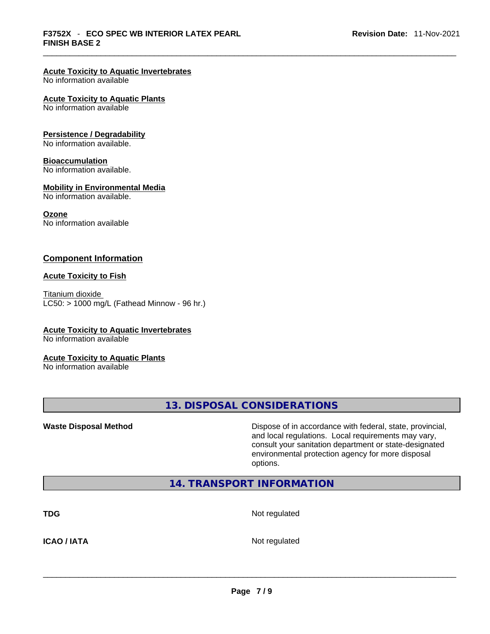# **Acute Toxicity to Aquatic Invertebrates**

No information available

#### **Acute Toxicity to Aquatic Plants**

No information available

#### **Persistence / Degradability**

No information available.

#### **Bioaccumulation**

No information available.

#### **Mobility in Environmental Media**

No information available.

#### **Ozone**

No information available

#### **Component Information**

#### **Acute Toxicity to Fish**

Titanium dioxide  $LC50:$  > 1000 mg/L (Fathead Minnow - 96 hr.)

# **Acute Toxicity to Aquatic Invertebrates**

No information available

#### **Acute Toxicity to Aquatic Plants**

No information available

**13. DISPOSAL CONSIDERATIONS** 

**Waste Disposal Method** Dispose of in accordance with federal, state, provincial, and local regulations. Local requirements may vary, consult your sanitation department or state-designated environmental protection agency for more disposal options.

# **14. TRANSPORT INFORMATION**

**TDG** Not regulated

**ICAO / IATA** Not regulated \_\_\_\_\_\_\_\_\_\_\_\_\_\_\_\_\_\_\_\_\_\_\_\_\_\_\_\_\_\_\_\_\_\_\_\_\_\_\_\_\_\_\_\_\_\_\_\_\_\_\_\_\_\_\_\_\_\_\_\_\_\_\_\_\_\_\_\_\_\_\_\_\_\_\_\_\_\_\_\_\_\_\_\_\_\_\_\_\_\_\_\_\_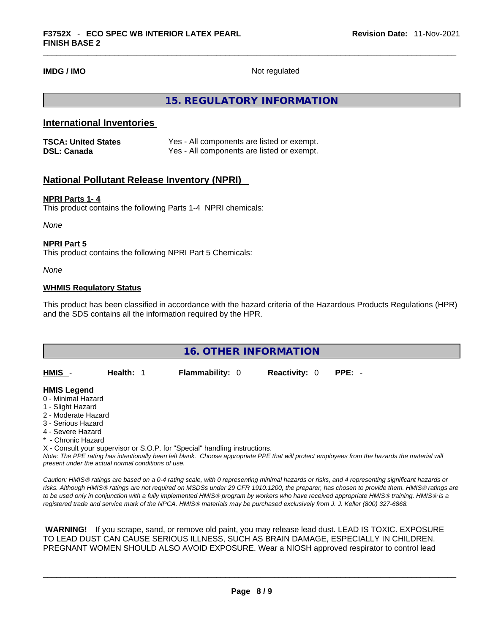**IMDG / IMO** Not regulated

# **15. REGULATORY INFORMATION**

# **International Inventories**

| <b>TSCA: United States</b> | Yes - All components are listed or exempt. |
|----------------------------|--------------------------------------------|
| <b>DSL: Canada</b>         | Yes - All components are listed or exempt. |

# **National Pollutant Release Inventory (NPRI)**

#### **NPRI Parts 1- 4**

This product contains the following Parts 1-4 NPRI chemicals:

*None*

#### **NPRI Part 5**

This product contains the following NPRI Part 5 Chemicals:

*None*

#### **WHMIS Regulatory Status**

This product has been classified in accordance with the hazard criteria of the Hazardous Products Regulations (HPR) and the SDS contains all the information required by the HPR.

| <b>16. OTHER INFORMATION</b>                                               |           |                        |                      |                                                                                                                                               |  |
|----------------------------------------------------------------------------|-----------|------------------------|----------------------|-----------------------------------------------------------------------------------------------------------------------------------------------|--|
|                                                                            |           |                        |                      |                                                                                                                                               |  |
| HMIS -                                                                     | Health: 1 | <b>Flammability: 0</b> | <b>Reactivity: 0</b> | $PPE: -$                                                                                                                                      |  |
|                                                                            |           |                        |                      |                                                                                                                                               |  |
| <b>HMIS Legend</b>                                                         |           |                        |                      |                                                                                                                                               |  |
| 0 - Minimal Hazard                                                         |           |                        |                      |                                                                                                                                               |  |
| 1 - Slight Hazard                                                          |           |                        |                      |                                                                                                                                               |  |
| 2 - Moderate Hazard                                                        |           |                        |                      |                                                                                                                                               |  |
| 3 - Serious Hazard                                                         |           |                        |                      |                                                                                                                                               |  |
| 4 - Severe Hazard                                                          |           |                        |                      |                                                                                                                                               |  |
| * - Chronic Hazard                                                         |           |                        |                      |                                                                                                                                               |  |
| X - Consult your supervisor or S.O.P. for "Special" handling instructions. |           |                        |                      |                                                                                                                                               |  |
|                                                                            |           |                        |                      | Note: The PPE rating has intentionally been left blank. Choose appropriate PPE that will protect employees from the hazards the material will |  |

*present under the actual normal conditions of use.* 

*Caution: HMISÒ ratings are based on a 0-4 rating scale, with 0 representing minimal hazards or risks, and 4 representing significant hazards or risks. Although HMISÒ ratings are not required on MSDSs under 29 CFR 1910.1200, the preparer, has chosen to provide them. HMISÒ ratings are to be used only in conjunction with a fully implemented HMISÒ program by workers who have received appropriate HMISÒ training. HMISÒ is a registered trade and service mark of the NPCA. HMISÒ materials may be purchased exclusively from J. J. Keller (800) 327-6868.* 

 **WARNING!** If you scrape, sand, or remove old paint, you may release lead dust. LEAD IS TOXIC. EXPOSURE TO LEAD DUST CAN CAUSE SERIOUS ILLNESS, SUCH AS BRAIN DAMAGE, ESPECIALLY IN CHILDREN. PREGNANT WOMEN SHOULD ALSO AVOID EXPOSURE.Wear a NIOSH approved respirator to control lead